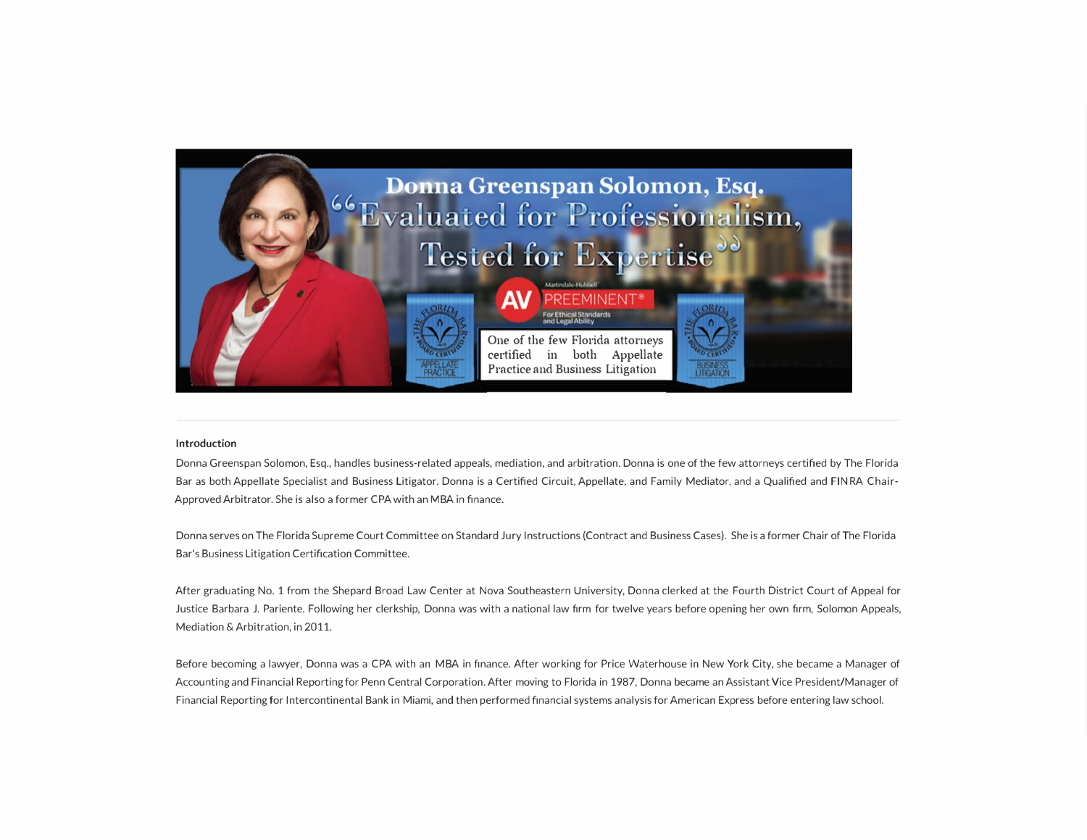

#### **Introduction**

Donna Greenspan Solomon, Esq., handles business-related appeals, mediation, and arbitration. Donna is one of the few attorneys certified by The Florida Bar as both Appellate Specialist and Business Litigator. Donna is a Certified Circuit, Appellate, and Family Mediator, and a Qualified and FIN RA Chair-Approved Arbitrator. She is also a former CPA with an MBA in finance.

Donna serves on The Florida Supreme Court Committee on Standard Jury Instructions (Contract and Business Cases). She is a former Chair of The Florida Bar's Business Litigation Certification Committee.

After graduating No. 1 from the Shepard Broad Law Center at Nova Southeastern University, Donna clerked at the Fourth District Court of Appeal for Justice Barbara J. Pariente. Following her clerkship, Donna was with a national law firm for twelve years before opening her own firm, Solomon Appeals, Mediation & Arbitration, in 2011.

Before becoming a lawyer, Donna was a CPA with an MBA in finance. After working for Price Waterhouse in New York City, she became a Manager of Accounting and Financial Reporting for Penn Central Corporation. After moving to Florida in 1987, Donna became an Assistant Vice President/Manager of Financial Reporting for Intercontinental Bank in Miami, and then performed financial systems analysis for American Express before entering law school.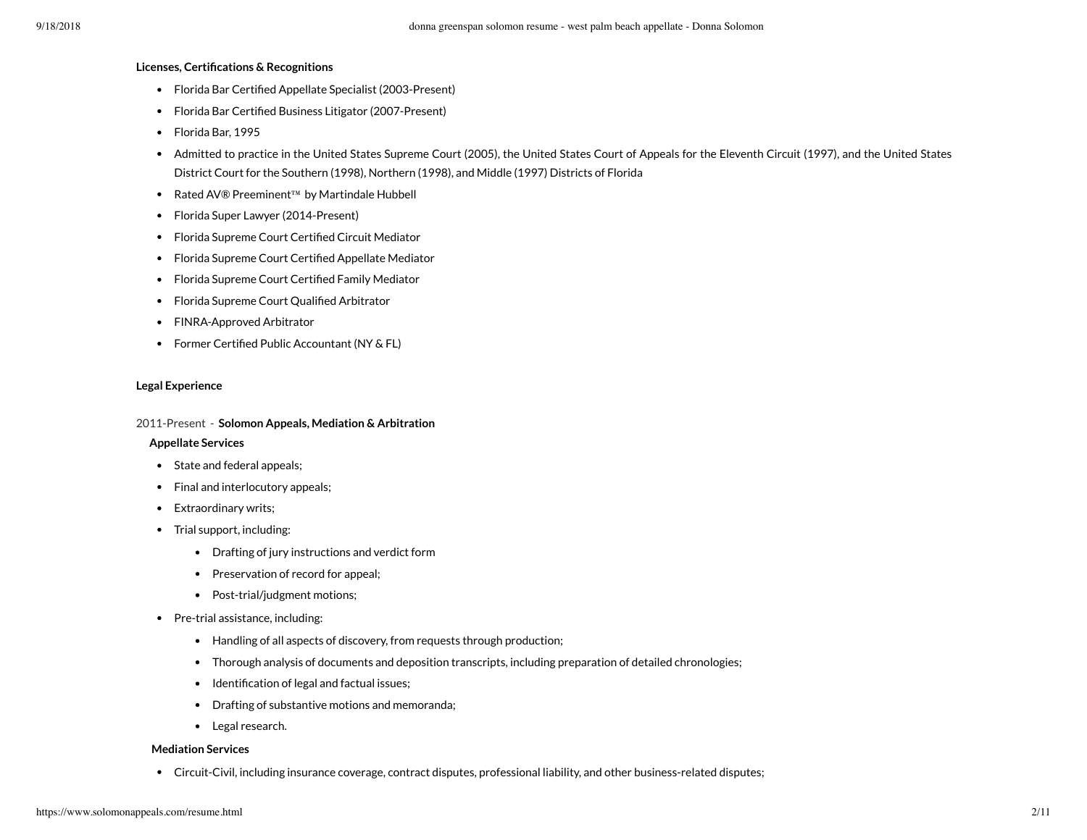#### **Licenses, Certifications & Recognitions**

- Florida Bar Certified Appellate Specialist (2003-Present)
- Florida Bar Certified Business Litigator (2007-Present)
- Florida Bar, 1995
- Admitted to practice in the United States Supreme Court (2005), the United States Court of Appeals for the Eleventh Circuit (1997), and the United States District Court for the Southern (1998), Northern (1998), and Middle (1997) Districts of Florida
- Rated AV® Preeminent™ by Martindale Hubbell
- Florida Super Lawyer (2014-Present)
- Florida Supreme Court Certified Circuit Mediator
- Florida Supreme Court Certified Appellate Mediator
- Florida Supreme Court Certified Family Mediator
- Florida Supreme Court Qualified Arbitrator
- FINRA-Approved Arbitrator
- Former Certified Public Accountant (NY & FL)

#### **Legal Experience**

#### 2011-Present - **Solomon Appeals, Mediation & Arbitration**

#### **Appellate Services**

- State and federal appeals;
- Final and interlocutory appeals;
- Extraordinary writs;
- Trial support, including:
	- Drafting of jury instructions and verdict form
	- Preservation of record for appeal;
	- Post-trial/judgment motions;
- Pre-trial assistance, including:
	- Handling of all aspects of discovery, from requests through production;
	- Thorough analysis of documents and deposition transcripts, including preparation of detailed chronologies;
	- Identification of legal and factual issues;
	- Drafting of substantive motions and memoranda;
	- Legal research.

#### **Mediation Services**

Circuit-Civil, including insurance coverage, contract disputes, professional liability, and other business-related disputes;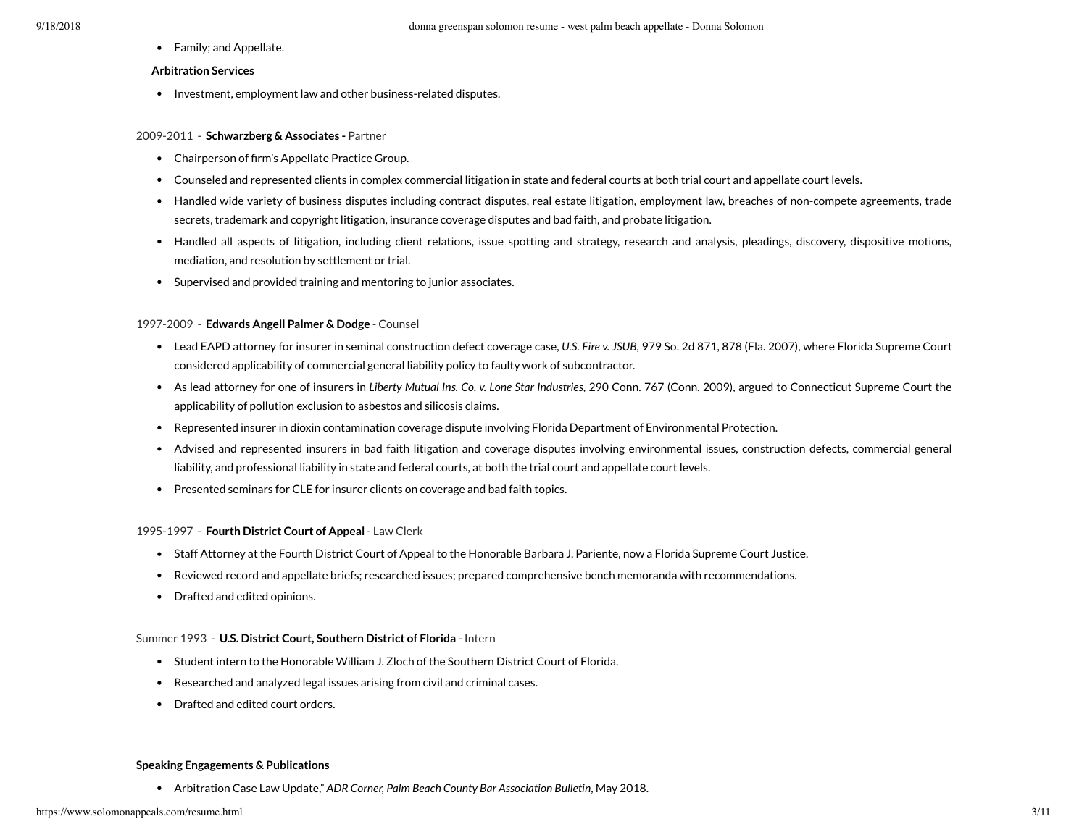Family; and Appellate.

#### **Arbitration Services**

• Investment, employment law and other business-related disputes.

### 2009-2011 - **Schwarzberg & Associates -** Partner

- Chairperson of firm's Appellate Practice Group.
- Counseled and represented clients in complex commercial litigation in state and federal courts at both trial court and appellate court levels.
- Handled wide variety of business disputes including contract disputes, real estate litigation, employment law, breaches of non-compete agreements, trade secrets, trademark and copyright litigation, insurance coverage disputes and bad faith, and probate litigation.
- Handled all aspects of litigation, including client relations, issue spotting and strategy, research and analysis, pleadings, discovery, dispositive motions, mediation, and resolution by settlement or trial.
- Supervised and provided training and mentoring to junior associates.

### 1997-2009 - **Edwards Angell Palmer & Dodge** - Counsel

- Lead EAPD attorney for insurer in seminal construction defect coverage case, U.S. Fire v. JSUB, 979 So. 2d 871, 878 (Fla. 2007), where Florida Supreme Court considered applicability of commercial general liability policy to faulty work of subcontractor.
- As lead attorney for one of insurers in Liberty Mutual Ins. Co. v. Lone Star Industries, 290 Conn. 767 (Conn. 2009), argued to Connecticut Supreme Court the applicability of pollution exclusion to asbestos and silicosis claims.
- Represented insurer in dioxin contamination coverage dispute involving Florida Department of Environmental Protection.
- Advised and represented insurers in bad faith litigation and coverage disputes involving environmental issues, construction defects, commercial general liability, and professional liability in state and federal courts, at both the trial court and appellate court levels.
- Presented seminars for CLE for insurer clients on coverage and bad faith topics.

#### 1995-1997 - **Fourth District Court of Appeal** - Law Clerk

- Staff Attorney at the Fourth District Court of Appeal to the Honorable Barbara J. Pariente, now a Florida Supreme Court Justice.
- Reviewed record and appellate briefs; researched issues; prepared comprehensive bench memoranda with recommendations.
- Drafted and edited opinions.

#### Summer 1993 - **U.S. District Court, Southern District of Florida** - Intern

- Student intern to the Honorable William J. Zloch of the Southern District Court of Florida.
- Researched and analyzed legal issues arising from civil and criminal cases.
- Drafted and edited court orders.

#### **Speaking Engagements & Publications**

Arbitration Case Law Update," ADR Corner, Palm Beach County Bar Association Bulletin, May 2018.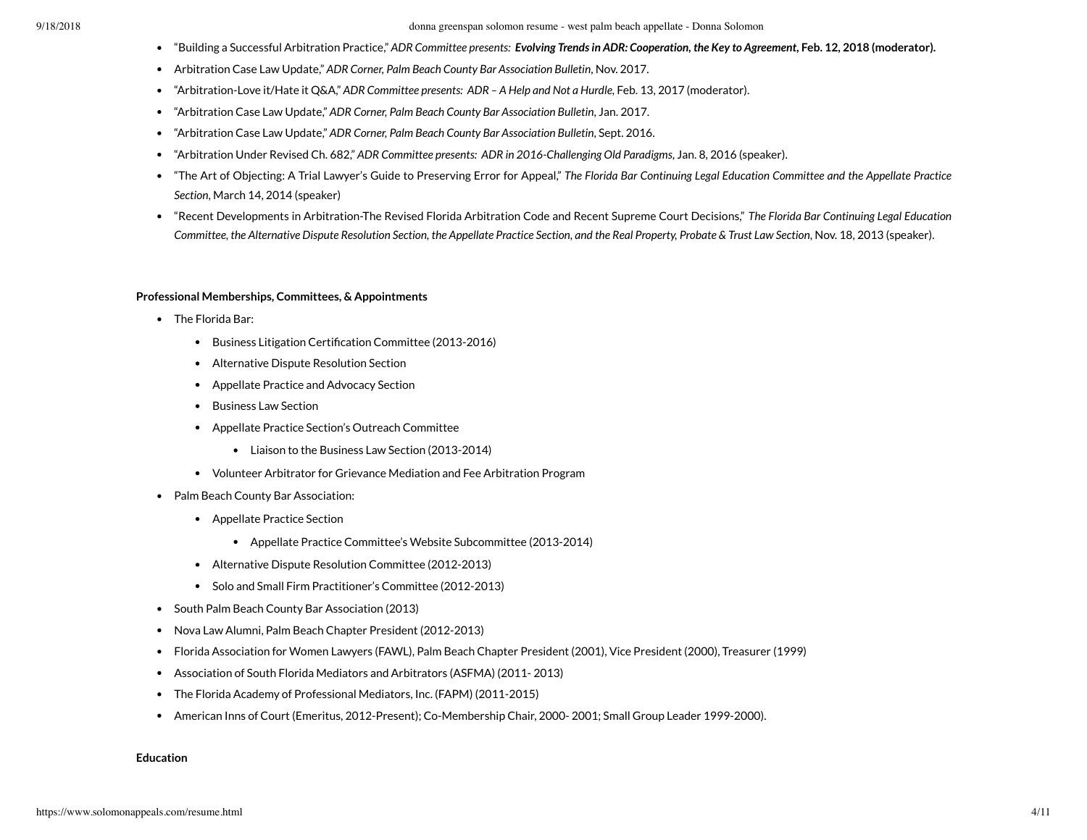#### 9/18/2018 donna greenspan solomon resume - west palm beach appellate - Donna Solomon

- "Building a Successful Arbitration Practice," ADR Committee presents: Evolving Trends in ADR: Cooperation, the Key to Agreement, Feb. 12, 2018 (moderator).
- Arbitration Case Law Update," ADR Corner, Palm Beach County Bar Association Bulletin, Nov. 2017.
- "Arbitration-Love it/Hate it Q&A," ADR Committee presents: ADR A Help and Not a Hurdle, Feb. 13, 2017 (moderator).
- "Arbitration Case Law Update," ADR Corner, Palm Beach County Bar Association Bulletin, Jan. 2017.
- $\hat{a}$ rbitration Case Law Update," ADR Corner, Palm Beach County Bar Association Bulletin, Sept. 2016.
- "Arbitration Under Revised Ch. 682," ADR Committee presents: ADR in 2016-Challenging Old Paradigms, Jan. 8, 2016 (speaker).
- "The Art of Objecting: A Trial Lawyer's Guide to Preserving Error for Appeal," The Florida Bar Continuing Legal Education Committee and the Appellate Practice , March 14, 2014 (speaker) *Section*
- "Recent Developments in Arbitration-The Revised Florida Arbitration Code and Recent Supreme Court Decisions," *The Florida Bar Continuing Legal Education* Committee, the Alternative Dispute Resolution Section, the Appellate Practice Section, and the Real Property, Probate & Trust Law Section, Nov. 18, 2013 (speaker).

#### **Professional Memberships, Committees, & Appointments**

- The Florida Bar:
	- Business Litigation Certification Committee (2013-2016)
	- Alternative Dispute Resolution Section
	- Appellate Practice and Advocacy Section
	- Business Law Section  $\bullet$
	- Appellate Practice Section's Outreach Committee
		- Liaison to the Business Law Section (2013-2014)
	- Volunteer Arbitrator for Grievance Mediation and Fee Arbitration Program
- Palm Beach County Bar Association:
	- Appellate Practice Section
		- Appellate Practice Committee's Website Subcommittee (2013-2014)
	- Alternative Dispute Resolution Committee (2012-2013)
	- Solo and Small Firm Practitioner's Committee (2012-2013)
- South Palm Beach County Bar Association (2013)
- Nova Law Alumni, Palm Beach Chapter President (2012-2013)
- Florida Association for Women Lawyers (FAWL), Palm Beach Chapter President (2001), Vice President (2000), Treasurer (1999)
- Association of South Florida Mediators and Arbitrators (ASFMA) (2011- 2013)
- The Florida Academy of Professional Mediators, Inc. (FAPM) (2011-2015)
- American Inns of Court (Emeritus, 2012-Present); Co-Membership Chair, 2000- 2001; Small Group Leader 1999-2000).

#### **Education**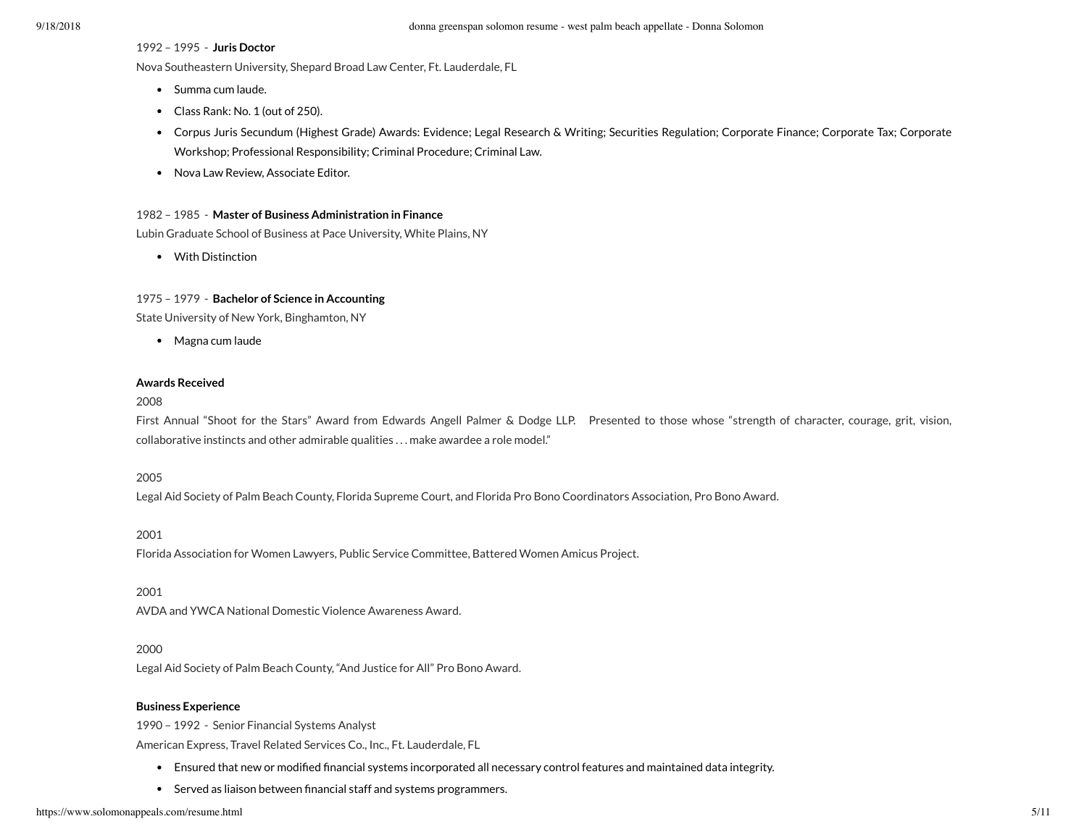### 1992 – 1995 - **Juris Doctor**

Nova Southeastern University, Shepard Broad Law Center, Ft. Lauderdale, FL

- Summa cum laude.
- Class Rank: No. 1 (out of 250).
- Corpus Juris Secundum (Highest Grade) Awards: Evidence; Legal Research & Writing; Securities Regulation; Corporate Finance; Corporate Tax; Corporate Workshop; Professional Responsibility; Criminal Procedure; Criminal Law.
- Nova Law Review, Associate Editor.

### 1982 – 1985 - **Master of Business Administration in Finance**

Lubin Graduate School of Business at Pace University, White Plains, NY

With Distinction

### 1975 – 1979 - **Bachelor of Science in Accounting**

State University of New York, Binghamton, NY

• Magna cum laude

### **Awards Received**

#### 2008

First Annual "Shoot for the Stars" Award from Edwards Angell Palmer & Dodge LLP. Presented to those whose "strength of character, courage, grit, vision, collaborative instincts and other admirable qualities . . . make awardee a role model."

#### 2005

Legal Aid Society of Palm Beach County, Florida Supreme Court, and Florida Pro Bono Coordinators Association, Pro Bono Award.

## 2001

Florida Association for Women Lawyers, Public Service Committee, Battered Women Amicus Project.

#### 2001

AVDA and YWCA National Domestic Violence Awareness Award.

#### 2000

Legal Aid Society of Palm Beach County, "And Justice for All" Pro Bono Award.

## **Business Experience**

1990 – 1992 - Senior Financial Systems Analyst

American Express, Travel Related Services Co., Inc., Ft. Lauderdale, FL

- Ensured that new or modified financial systems incorporated all necessary control features and maintained data integrity.
- Served as liaison between financial staff and systems programmers.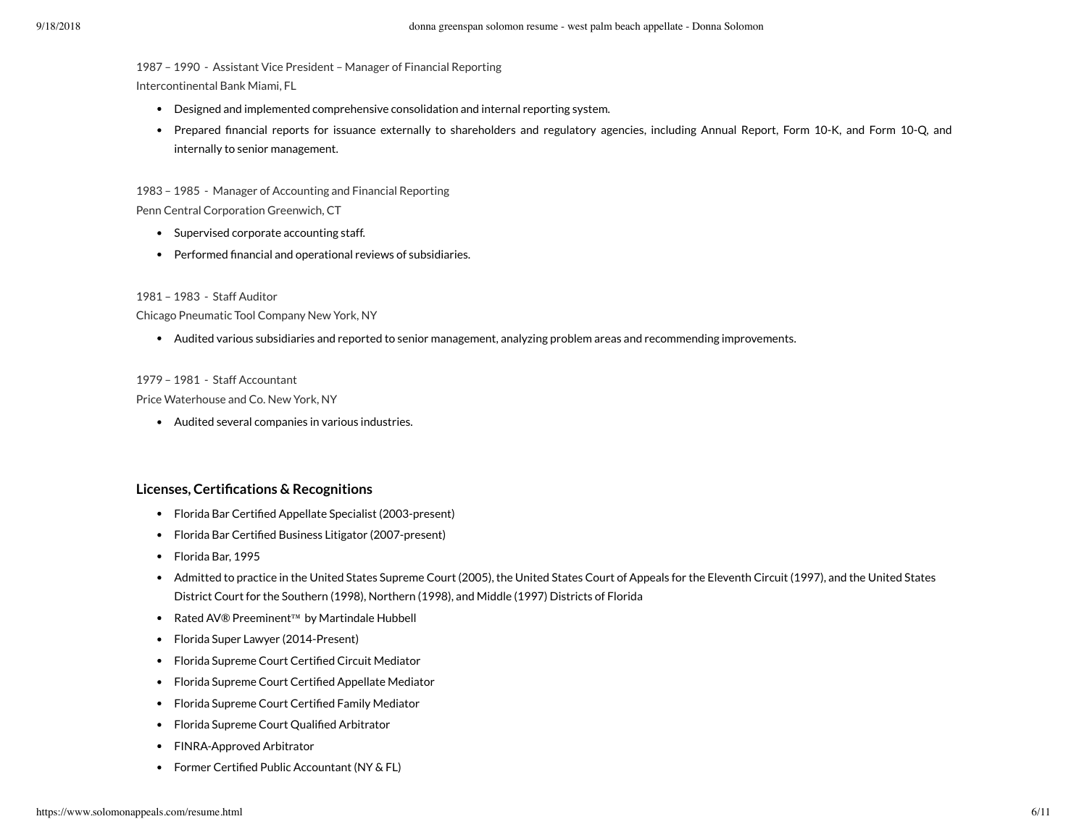1987 – 1990 - Assistant Vice President – Manager of Financial Reporting

Intercontinental Bank Miami, FL

- Designed and implemented comprehensive consolidation and internal reporting system.
- Prepared financial reports for issuance externally to shareholders and regulatory agencies, including Annual Report, Form 10-K, and Form 10-Q, and internally to senior management.

1983 – 1985 - Manager of Accounting and Financial Reporting Penn Central Corporation Greenwich, CT

- Supervised corporate accounting staff.
- Performed financial and operational reviews of subsidiaries.

1981 – 1983 - Staff Auditor

Chicago Pneumatic Tool Company New York, NY

Audited various subsidiaries and reported to senior management, analyzing problem areas and recommending improvements.

### 1979 – 1981 - Staff Accountant

Price Waterhouse and Co. New York, NY

Audited several companies in various industries.

# **Licenses, Certications & Recognitions**

- Florida Bar Certified Appellate Specialist (2003-present)
- Florida Bar Certified Business Litigator (2007-present)
- Florida Bar, 1995
- Admitted to practice in the United States Supreme Court (2005), the United States Court of Appeals for the Eleventh Circuit (1997), and the United States District Court for the Southern (1998), Northern (1998), and Middle (1997) Districts of Florida
- Rated AV® Preeminent™ by Martindale Hubbell
- Florida Super Lawyer (2014-Present)
- Florida Supreme Court Certified Circuit Mediator
- Florida Supreme Court Certified Appellate Mediator
- Florida Supreme Court Certified Family Mediator
- Florida Supreme Court Qualified Arbitrator
- FINRA-Approved Arbitrator
- Former Certified Public Accountant (NY & FL)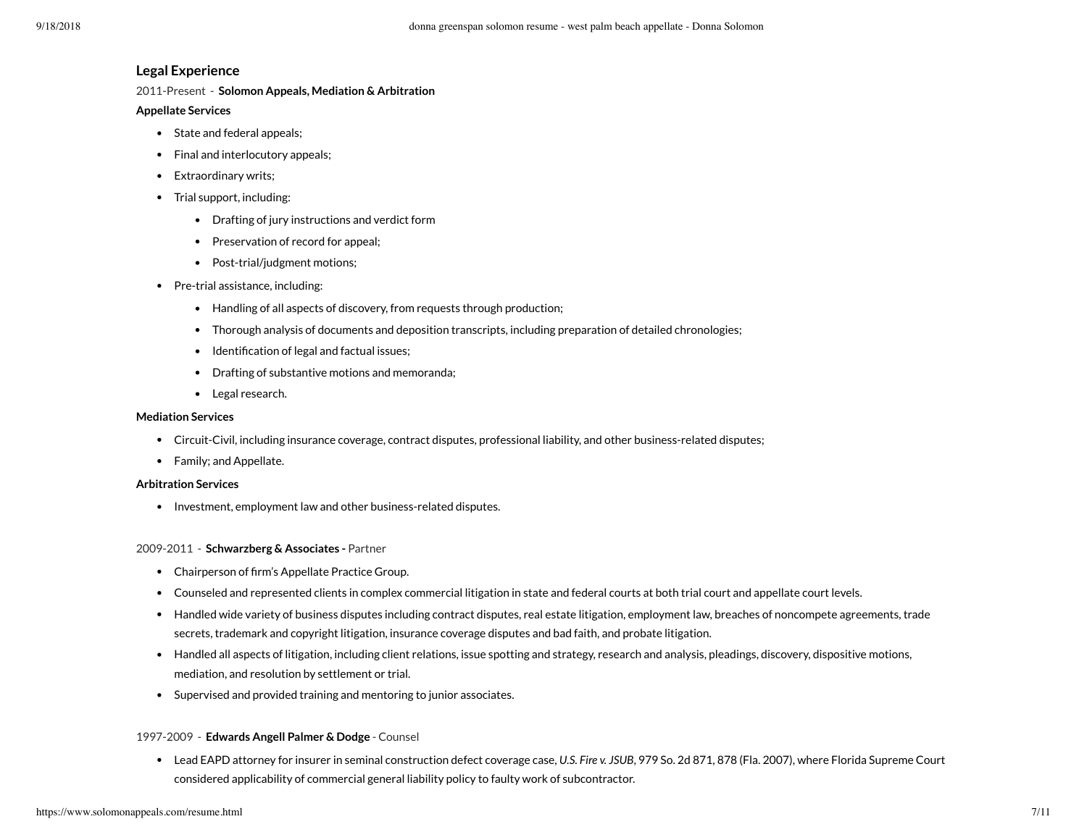# **Legal Experience**

2011-Present - **Solomon Appeals, Mediation & Arbitration**

## **Appellate Services**

- State and federal appeals;
- Final and interlocutory appeals;
- Extraordinary writs;
- Trial support, including:
	- Drafting of jury instructions and verdict form
	- Preservation of record for appeal;
	- Post-trial/judgment motions;
- Pre-trial assistance, including:
	- Handling of all aspects of discovery, from requests through production;
	- Thorough analysis of documents and deposition transcripts, including preparation of detailed chronologies;
	- Identification of legal and factual issues;
	- Drafting of substantive motions and memoranda;
	- Legal research.

## **Mediation Services**

- Circuit-Civil, including insurance coverage, contract disputes, professional liability, and other business-related disputes;
- Family; and Appellate.

## **Arbitration Services**

• Investment, employment law and other business-related disputes.

## 2009-2011 - **Schwarzberg & Associates -** Partner

- Chairperson of firm's Appellate Practice Group.
- Counseled and represented clients in complex commercial litigation in state and federal courts at both trial court and appellate court levels.
- Handled wide variety of business disputes including contract disputes, real estate litigation, employment law, breaches of noncompete agreements, trade secrets, trademark and copyright litigation, insurance coverage disputes and bad faith, and probate litigation.
- Handled all aspects of litigation, including client relations, issue spotting and strategy, research and analysis, pleadings, discovery, dispositive motions, mediation, and resolution by settlement or trial.
- Supervised and provided training and mentoring to junior associates.

## 1997-2009 - **Edwards Angell Palmer & Dodge** - Counsel

Lead EAPD attorney for insurer in seminal construction defect coverage case, U.S. Fire v. JSUB, 979 So. 2d 871, 878 (Fla. 2007), where Florida Supreme Court considered applicability of commercial general liability policy to faulty work of subcontractor.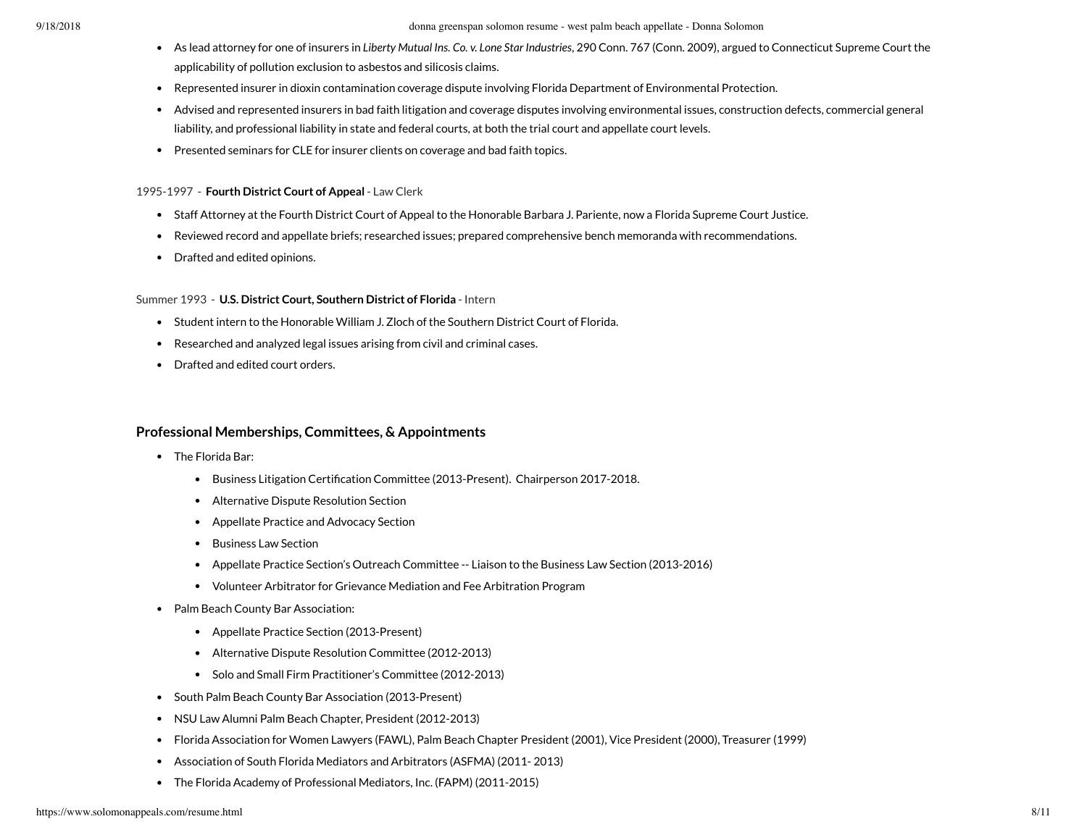- As lead attorney for one of insurers in Liberty Mutual Ins. Co. v. Lone Star Industries, 290 Conn. 767 (Conn. 2009), argued to Connecticut Supreme Court the applicability of pollution exclusion to asbestos and silicosis claims.
- Represented insurer in dioxin contamination coverage dispute involving Florida Department of Environmental Protection.
- Advised and represented insurers in bad faith litigation and coverage disputes involving environmental issues, construction defects, commercial general liability, and professional liability in state and federal courts, at both the trial court and appellate court levels.
- Presented seminars for CLE for insurer clients on coverage and bad faith topics.

### 1995-1997 - **Fourth District Court of Appeal** - Law Clerk

- Staff Attorney at the Fourth District Court of Appeal to the Honorable Barbara J. Pariente, now a Florida Supreme Court Justice.
- Reviewed record and appellate briefs; researched issues; prepared comprehensive bench memoranda with recommendations.
- Drafted and edited opinions.

### Summer 1993 - **U.S. District Court, Southern District of Florida** - Intern

- Student intern to the Honorable William J. Zloch of the Southern District Court of Florida.
- Researched and analyzed legal issues arising from civil and criminal cases.
- Drafted and edited court orders.

# **Professional Memberships, Committees, & Appointments**

- The Florida Bar:
	- Business Litigation Certification Committee (2013-Present). Chairperson 2017-2018.
	- Alternative Dispute Resolution Section
	- Appellate Practice and Advocacy Section  $\bullet$
	- Business Law Section
	- Appellate Practice Section's Outreach Committee -- Liaison to the Business Law Section (2013-2016)
	- Volunteer Arbitrator for Grievance Mediation and Fee Arbitration Program
- Palm Beach County Bar Association:
	- Appellate Practice Section (2013-Present)
	- Alternative Dispute Resolution Committee (2012-2013)
	- Solo and Small Firm Practitioner's Committee (2012-2013)
- South Palm Beach County Bar Association (2013-Present)
- NSU Law Alumni Palm Beach Chapter, President (2012-2013)
- Florida Association for Women Lawyers (FAWL), Palm Beach Chapter President (2001), Vice President (2000), Treasurer (1999)
- Association of South Florida Mediators and Arbitrators (ASFMA) (2011- 2013)
- The Florida Academy of Professional Mediators, Inc. (FAPM) (2011-2015)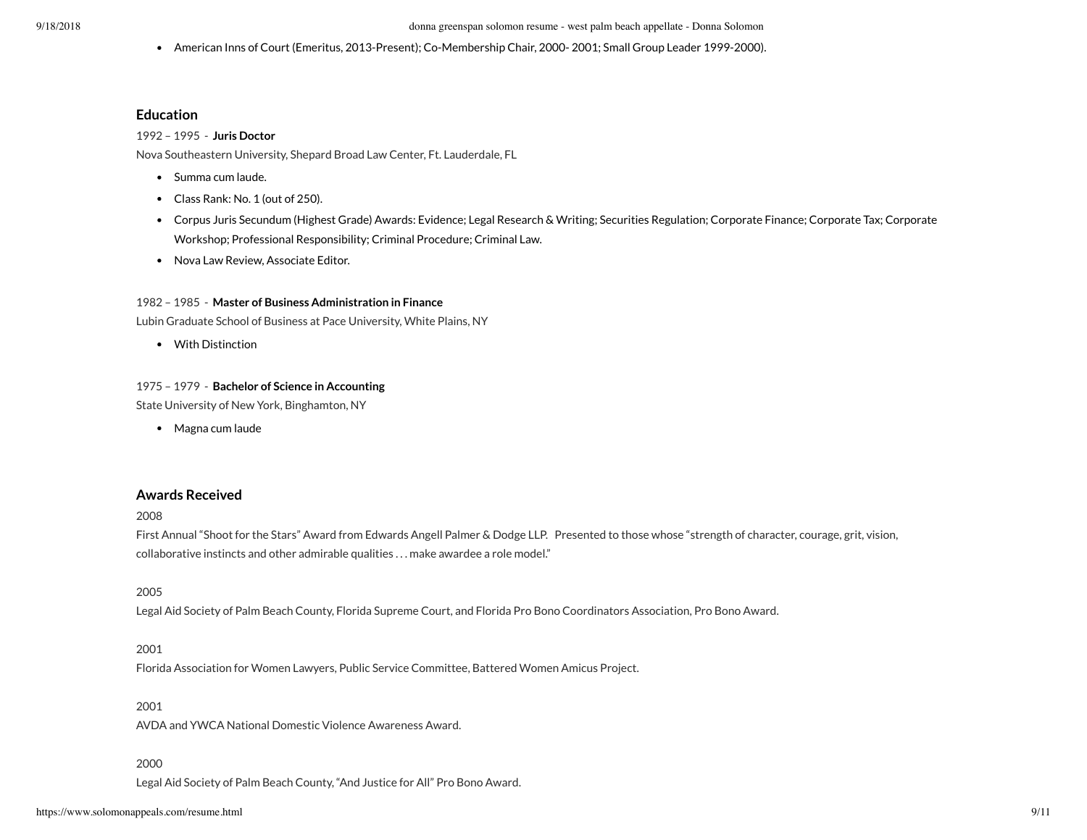American Inns of Court (Emeritus, 2013-Present); Co-Membership Chair, 2000- 2001; Small Group Leader 1999-2000).

## **Education**

### 1992 – 1995 - **Juris Doctor**

Nova Southeastern University, Shepard Broad Law Center, Ft. Lauderdale, FL

- Summa cum laude.
- Class Rank: No. 1 (out of 250).
- Corpus Juris Secundum (Highest Grade) Awards: Evidence; Legal Research & Writing; Securities Regulation; Corporate Finance; Corporate Tax; Corporate Workshop; Professional Responsibility; Criminal Procedure; Criminal Law.
- Nova Law Review, Associate Editor.

### 1982 – 1985 - **Master of Business Administration in Finance**

Lubin Graduate School of Business at Pace University, White Plains, NY

With Distinction

#### 1975 – 1979 - **Bachelor of Science in Accounting**

State University of New York, Binghamton, NY

• Magna cum laude

## **Awards Received**

#### 2008

First Annual "Shoot for the Stars" Award from Edwards Angell Palmer & Dodge LLP. Presented to those whose "strength of character, courage, grit, vision, collaborative instincts and other admirable qualities . . . make awardee a role model."

# 2005

Legal Aid Society of Palm Beach County, Florida Supreme Court, and Florida Pro Bono Coordinators Association, Pro Bono Award.

## 2001

Florida Association for Women Lawyers, Public Service Committee, Battered Women Amicus Project.

### 2001

AVDA and YWCA National Domestic Violence Awareness Award.

#### 2000

Legal Aid Society of Palm Beach County, "And Justice for All" Pro Bono Award.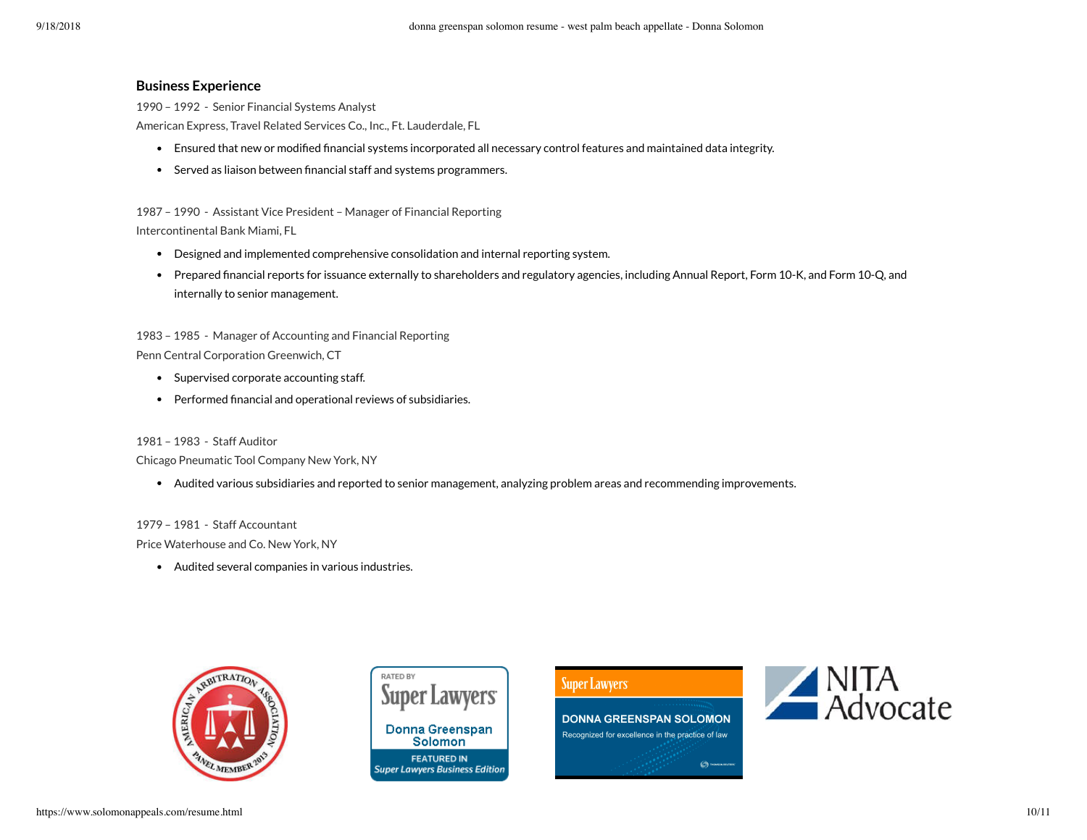# **Business Experience**

1990 – 1992 - Senior Financial Systems Analyst American Express, Travel Related Services Co., Inc., Ft. Lauderdale, FL

- Ensured that new or modified financial systems incorporated all necessary control features and maintained data integrity.
- Served as liaison between financial staff and systems programmers.

1987 – 1990 - Assistant Vice President – Manager of Financial Reporting Intercontinental Bank Miami, FL

- Designed and implemented comprehensive consolidation and internal reporting system.
- Prepared financial reports for issuance externally to shareholders and regulatory agencies, including Annual Report, Form 10-K, and Form 10-Q, and internally to senior management.

1983 – 1985 - Manager of Accounting and Financial Reporting Penn Central Corporation Greenwich, CT

- Supervised corporate accounting staff.
- Performed financial and operational reviews of subsidiaries.

1981 – 1983 - Staff Auditor

Chicago Pneumatic Tool Company New York, NY

Audited various subsidiaries and reported to senior management, analyzing problem areas and recommending improvements.

1979 – 1981 - Staff Accountant Price Waterhouse and Co. New York, NY

Audited several companies in various industries.